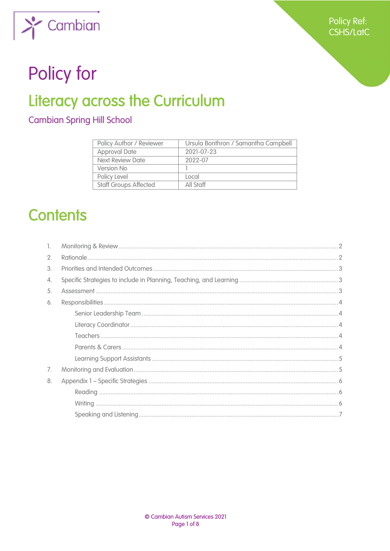

# Policy for

# **Literacy across the Curriculum**

**Cambian Spring Hill School** 

| Policy Author / Reviewer     | Ursula Bonthron / Samantha Campbell |
|------------------------------|-------------------------------------|
| <b>Approval Date</b>         | 2021-07-23                          |
| Next Review Date             | 2022-07                             |
| Version No                   |                                     |
| Policy Level                 | Local                               |
| <b>Staff Groups Affected</b> | All Staff                           |

## **Contents**

| 1. |  |
|----|--|
| 2. |  |
| 3. |  |
| 4. |  |
| 5. |  |
| 6. |  |
|    |  |
|    |  |
|    |  |
|    |  |
|    |  |
| 7. |  |
| 8. |  |
|    |  |
|    |  |
|    |  |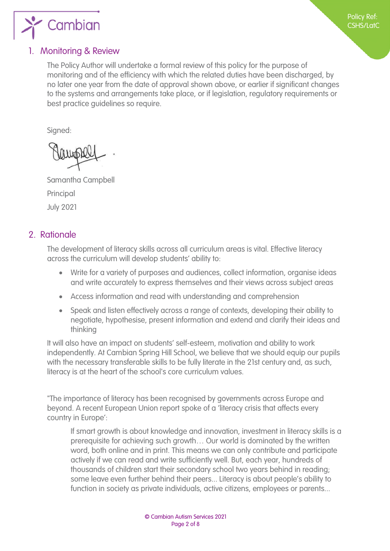<span id="page-1-0"></span>

#### 1. Monitoring & Review

The Policy Author will undertake a formal review of this policy for the purpose of monitoring and of the efficiency with which the related duties have been discharged, by no later one year from the date of approval shown above, or earlier if significant changes to the systems and arrangements take place, or if legislation, regulatory requirements or best practice guidelines so require.

Signed:

Samantha Campbell Principal July 2021

#### 2. Rationale

The development of literacy skills across all curriculum areas is vital. Effective literacy across the curriculum will develop students' ability to:

- Write for a variety of purposes and audiences, collect information, organise ideas and write accurately to express themselves and their views across subject areas
- Access information and read with understanding and comprehension
- Speak and listen effectively across a range of contexts, developing their ability to negotiate, hypothesise, present information and extend and clarify their ideas and thinking

It will also have an impact on students' self-esteem, motivation and ability to work independently. At Cambian Spring Hill School, we believe that we should equip our pupils with the necessary transferable skills to be fully literate in the 21st century and, as such, literacy is at the heart of the school's core curriculum values.

"The importance of literacy has been recognised by governments across Europe and beyond. A recent European Union report spoke of a 'literacy crisis that affects every country in Europe':

If smart growth is about knowledge and innovation, investment in literacy skills is a prerequisite for achieving such growth… Our world is dominated by the written word, both online and in print. This means we can only contribute and participate actively if we can read and write sufficiently well. But, each year, hundreds of thousands of children start their secondary school two years behind in reading; some leave even further behind their peers... Literacy is about people's ability to function in society as private individuals, active citizens, employees or parents...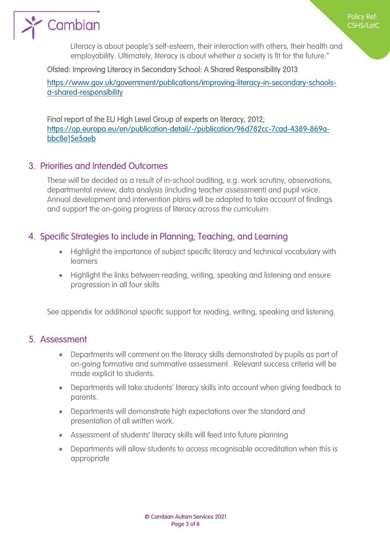<span id="page-2-0"></span>

Policy Ref: CSHS/LatC

#### Ofsted: Improving Literacy in Secondary School: A Shared Responsibility 2013

[https://www.gov.uk/government/publications/improving-literacy-in-secondary-schools](https://www.gov.uk/government/publications/improving-literacy-in-secondary-schools-a-shared-responsibility)[a-shared-responsibility](https://www.gov.uk/government/publications/improving-literacy-in-secondary-schools-a-shared-responsibility)

Final report of the EU High Level Group of experts on literacy, 2012; [https://op.europa.eu/en/publication-detail/-/publication/96d782cc-7cad-4389-869a](https://op.europa.eu/en/publication-detail/-/publication/96d782cc-7cad-4389-869a-bbc8e15e5aeb)[bbc8e15e5aeb](https://op.europa.eu/en/publication-detail/-/publication/96d782cc-7cad-4389-869a-bbc8e15e5aeb)

#### 3. Priorities and Intended Outcomes

These will be decided as a result of in-school auditing, e.g. work scrutiny, observations, departmental review, data analysis (including teacher assessment) and pupil voice. Annual development and intervention plans will be adapted to take account of findings and support the on-going progress of literacy across the curriculum.

#### 4. Specific Strategies to include in Planning, Teaching, and Learning

- Highlight the importance of subject specific literacy and technical vocabulary with learners
- Highlight the links between reading, writing, speaking and listening and ensure progression in all four skills

See appendix for additional specific support for reading, writing, speaking and listening.

#### 5. Assessment

- Departments will comment on the literacy skills demonstrated by pupils as part of on-going formative and summative assessment. Relevant success criteria will be made explicit to students.
- Departments will take students' literacy skills into account when giving feedback to parents.
- Departments will demonstrate high expectations over the standard and presentation of all written work.
- Assessment of students' literacy skills will feed into future planning
- Departments will allow students to access recognisable accreditation when this is appropriate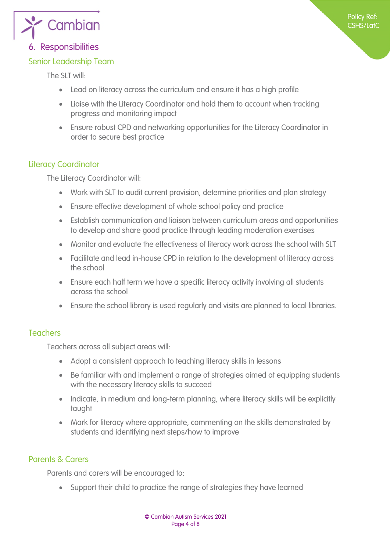<span id="page-3-0"></span>

#### 6. Responsibilities

#### Senior Leadership Team

The SLT will:

- Lead on literacy across the curriculum and ensure it has a high profile
- Liaise with the Literacy Coordinator and hold them to account when tracking progress and monitoring impact
- Ensure robust CPD and networking opportunities for the Literacy Coordinator in order to secure best practice

#### Literacy Coordinator

The Literacy Coordinator will:

- Work with SLT to audit current provision, determine priorities and plan strategy
- Ensure effective development of whole school policy and practice
- Establish communication and liaison between curriculum areas and opportunities to develop and share good practice through leading moderation exercises
- Monitor and evaluate the effectiveness of literacy work across the school with SLT
- Facilitate and lead in-house CPD in relation to the development of literacy across the school
- Ensure each half term we have a specific literacy activity involving all students across the school
- Ensure the school library is used regularly and visits are planned to local libraries.

#### **Teachers**

Teachers across all subject areas will:

- Adopt a consistent approach to teaching literacy skills in lessons
- Be familiar with and implement a range of strategies aimed at equipping students with the necessary literacy skills to succeed
- Indicate, in medium and long-term planning, where literacy skills will be explicitly taught
- Mark for literacy where appropriate, commenting on the skills demonstrated by students and identifying next steps/how to improve

#### Parents & Carers

Parents and carers will be encouraged to:

Support their child to practice the range of strategies they have learned

Policy Ref: CSHS/LatC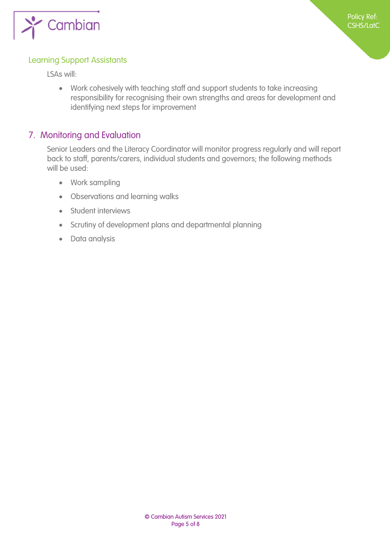<span id="page-4-0"></span>

#### Learning Support Assistants

LSAs will:

 Work cohesively with teaching staff and support students to take increasing responsibility for recognising their own strengths and areas for development and identifying next steps for improvement

#### 7. Monitoring and Evaluation

Senior Leaders and the Literacy Coordinator will monitor progress regularly and will report back to staff, parents/carers, individual students and governors; the following methods will be used:

- Work sampling
- Observations and learning walks
- Student interviews
- Scrutiny of development plans and departmental planning
- Data analysis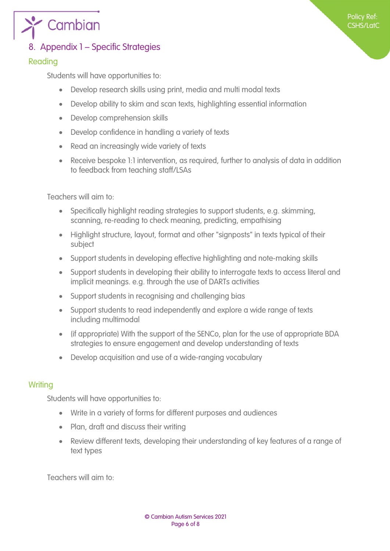<span id="page-5-0"></span>

### 8. Appendix 1 – Specific Strategies

#### Reading

Students will have opportunities to:

- Develop research skills using print, media and multi modal texts
- Develop ability to skim and scan texts, highlighting essential information
- Develop comprehension skills
- Develop confidence in handling a variety of texts
- Read an increasingly wide variety of texts
- Receive bespoke 1:1 intervention, as required, further to analysis of data in addition to feedback from teaching staff/LSAs

Policy Ref: CSHS/LatC

Teachers will aim to:

- Specifically highlight reading strategies to support students, e.g. skimming, scanning, re-reading to check meaning, predicting, empathising
- Highlight structure, layout, format and other "signposts" in texts typical of their subject
- Support students in developing effective highlighting and note-making skills
- Support students in developing their ability to interrogate texts to access literal and implicit meanings. e.g. through the use of DARTs activities
- Support students in recognising and challenging bias
- Support students to read independently and explore a wide range of texts including multimodal
- (if appropriate) With the support of the SENCo, plan for the use of appropriate BDA strategies to ensure engagement and develop understanding of texts
- Develop acquisition and use of a wide-ranging vocabulary

#### **Writing**

Students will have opportunities to:

- Write in a variety of forms for different purposes and audiences
- Plan, draft and discuss their writing
- Review different texts, developing their understanding of key features of a range of text types

Teachers will aim to: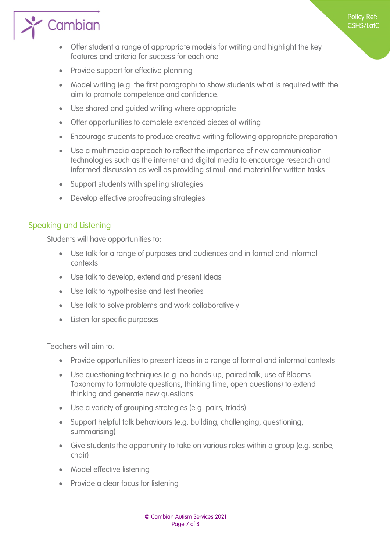# <span id="page-6-0"></span> $\sum_{i=1}^{\infty}$  Cambian

 Offer student a range of appropriate models for writing and highlight the key features and criteria for success for each one

Policy Ref: CSHS/LatC

- Provide support for effective planning
- Model writing (e.g. the first paragraph) to show students what is required with the aim to promote competence and confidence.
- Use shared and guided writing where appropriate
- Offer opportunities to complete extended pieces of writing
- Encourage students to produce creative writing following appropriate preparation
- Use a multimedia approach to reflect the importance of new communication technologies such as the internet and digital media to encourage research and informed discussion as well as providing stimuli and material for written tasks
- Support students with spelling strategies
- Develop effective proofreading strategies

#### Speaking and Listening

Students will have opportunities to:

- Use talk for a range of purposes and audiences and in formal and informal contexts
- Use talk to develop, extend and present ideas
- Use talk to hypothesise and test theories
- Use talk to solve problems and work collaboratively
- Listen for specific purposes

Teachers will aim to:

- Provide opportunities to present ideas in a range of formal and informal contexts
- Use questioning techniques (e.g. no hands up, paired talk, use of Blooms Taxonomy to formulate questions, thinking time, open questions) to extend thinking and generate new questions
- Use a variety of grouping strategies (e.g. pairs, triads)
- Support helpful talk behaviours (e.g. building, challenging, questioning, summarising)
- Give students the opportunity to take on various roles within a group (e.g. scribe, chair)
- Model effective listening
- Provide a clear focus for listening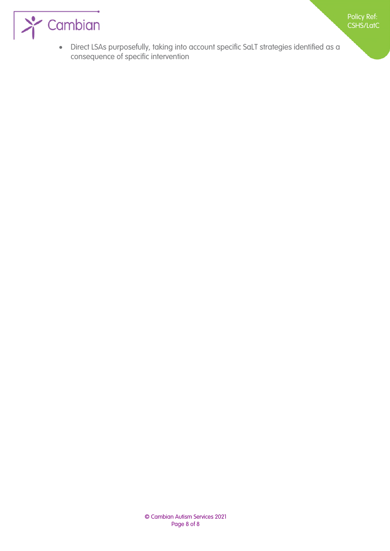

 Direct LSAs purposefully, taking into account specific SaLT strategies identified as a consequence of specific intervention

Policy Ref: CSHS/LatC